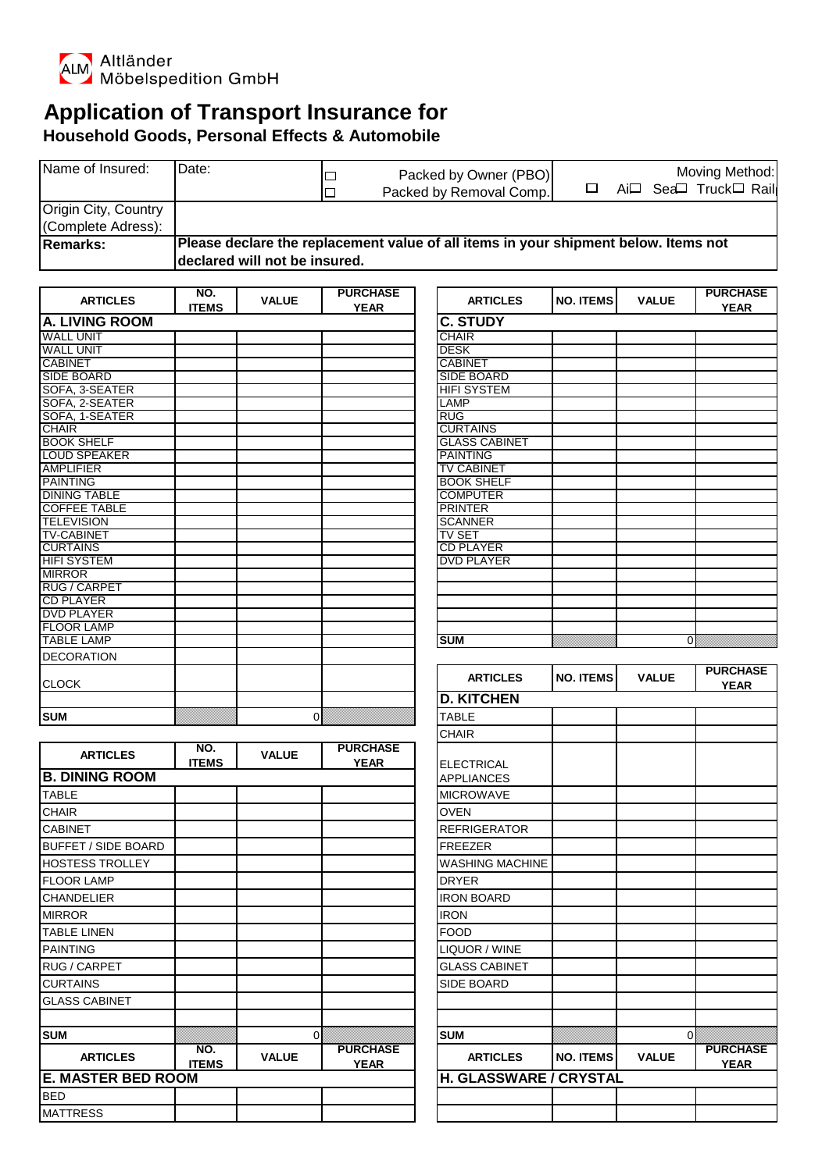

**ARTICLES NO.**<br>**ITEMS** 

BED MATTRESS

**INO.** ARTICLES NO. VALUE PURCHASE<br> **ITEMS** VALUE YEAR

## **Application of Transport Insurance for Household Goods, Personal Effects & Automobile**

| Name of Insured:     | IDate:                                                                              |  | Packed by Owner (PBO)<br>Packed by Removal Comp. |  | Moving Method:<br>Ai <sup>[1</sup> Sea <sup>[1</sup> ] Truck□ Rail |
|----------------------|-------------------------------------------------------------------------------------|--|--------------------------------------------------|--|--------------------------------------------------------------------|
| Origin City, Country |                                                                                     |  |                                                  |  |                                                                    |
| (Complete Adress):   |                                                                                     |  |                                                  |  |                                                                    |
| <b>Remarks:</b>      | Please declare the replacement value of all items in your shipment below. Items not |  |                                                  |  |                                                                    |
|                      | declared will not be insured.                                                       |  |                                                  |  |                                                                    |

| <b>ARTICLES</b>                            | NO.          | <b>VALUE</b> | <b>PURCHASE</b> | <b>ARTICLES</b>                         | <b>NO. ITEMS</b> | <b>VALUE</b> | <b>PURCHASE</b> |
|--------------------------------------------|--------------|--------------|-----------------|-----------------------------------------|------------------|--------------|-----------------|
|                                            | <b>ITEMS</b> |              | <b>YEAR</b>     |                                         |                  |              | <b>YEAR</b>     |
| <b>A. LIVING ROOM</b>                      |              |              | <b>C. STUDY</b> |                                         |                  |              |                 |
| <b>WALL UNIT</b>                           |              |              |                 | <b>CHAIR</b>                            |                  |              |                 |
| <b>WALL UNIT</b><br><b>CABINET</b>         |              |              |                 | <b>DESK</b>                             |                  |              |                 |
| <b>SIDE BOARD</b>                          |              |              |                 | <b>CABINET</b>                          |                  |              |                 |
| SOFA, 3-SEATER                             |              |              |                 | <b>SIDE BOARD</b><br><b>HIFI SYSTEM</b> |                  |              |                 |
| SOFA, 2-SEATER                             |              |              |                 | LAMP                                    |                  |              |                 |
| SOFA, 1-SEATER                             |              |              |                 | <b>RUG</b>                              |                  |              |                 |
| <b>CHAIR</b>                               |              |              |                 | <b>CURTAINS</b>                         |                  |              |                 |
| <b>BOOK SHELF</b>                          |              |              |                 | <b>GLASS CABINET</b>                    |                  |              |                 |
| <b>LOUD SPEAKER</b>                        |              |              |                 | <b>PAINTING</b>                         |                  |              |                 |
| <b>AMPLIFIER</b>                           |              |              |                 | <b>TV CABINET</b>                       |                  |              |                 |
| <b>PAINTING</b>                            |              |              |                 | <b>BOOK SHELF</b>                       |                  |              |                 |
| <b>DINING TABLE</b><br><b>COFFEE TABLE</b> |              |              |                 | <b>COMPUTER</b><br><b>PRINTER</b>       |                  |              |                 |
| <b>TELEVISION</b>                          |              |              |                 | <b>SCANNER</b>                          |                  |              |                 |
| <b>TV-CABINET</b>                          |              |              |                 | <b>TV SET</b>                           |                  |              |                 |
| <b>CURTAINS</b>                            |              |              |                 | <b>CD PLAYER</b>                        |                  |              |                 |
| <b>HIFI SYSTEM</b>                         |              |              |                 | <b>DVD PLAYER</b>                       |                  |              |                 |
| <b>MIRROR</b>                              |              |              |                 |                                         |                  |              |                 |
| <b>RUG / CARPET</b>                        |              |              |                 |                                         |                  |              |                 |
| <b>CD PLAYER</b>                           |              |              |                 |                                         |                  |              |                 |
| <b>DVD PLAYER</b>                          |              |              |                 |                                         |                  |              |                 |
| <b>FLOOR LAMP</b><br><b>TABLE LAMP</b>     |              |              |                 | <b>SUM</b>                              |                  |              | $\Omega$        |
| <b>DECORATION</b>                          |              |              |                 |                                         |                  |              |                 |
|                                            |              |              |                 |                                         |                  |              | <b>PURCHASE</b> |
| <b>CLOCK</b>                               |              |              |                 | <b>ARTICLES</b>                         | <b>NO. ITEMS</b> | <b>VALUE</b> | <b>YEAR</b>     |
|                                            |              |              |                 | <b>D. KITCHEN</b>                       |                  |              |                 |
| <b>SUM</b>                                 |              |              | $\overline{0}$  | <b>TABLE</b>                            |                  |              |                 |
|                                            |              |              |                 | <b>CHAIR</b>                            |                  |              |                 |
|                                            | NO.          |              | <b>PURCHASE</b> |                                         |                  |              |                 |
| <b>ARTICLES</b>                            | <b>ITEMS</b> | <b>VALUE</b> | <b>YEAR</b>     | <b>ELECTRICAL</b>                       |                  |              |                 |
| <b>B. DINING ROOM</b>                      |              |              |                 | <b>APPLIANCES</b>                       |                  |              |                 |
| <b>TABLE</b>                               |              |              |                 | <b>MICROWAVE</b>                        |                  |              |                 |
| <b>CHAIR</b>                               |              |              |                 | <b>OVEN</b>                             |                  |              |                 |
| <b>CABINET</b>                             |              |              |                 | <b>REFRIGERATOR</b>                     |                  |              |                 |
| <b>BUFFET / SIDE BOARD</b>                 |              |              |                 | <b>FREEZER</b>                          |                  |              |                 |
| <b>HOSTESS TROLLEY</b>                     |              |              |                 | <b>WASHING MACHINE</b>                  |                  |              |                 |
| <b>FLOOR LAMP</b>                          |              |              |                 |                                         |                  |              |                 |
| <b>CHANDELIER</b>                          |              |              |                 |                                         |                  |              |                 |
|                                            |              |              |                 | <b>DRYER</b>                            |                  |              |                 |
|                                            |              |              |                 | <b>IRON BOARD</b>                       |                  |              |                 |
| <b>MIRROR</b>                              |              |              |                 | <b>IRON</b>                             |                  |              |                 |
| <b>TABLE LINEN</b>                         |              |              |                 | <b>FOOD</b>                             |                  |              |                 |
| <b>PAINTING</b>                            |              |              |                 | LIQUOR / WINE                           |                  |              |                 |
| RUG / CARPET                               |              |              |                 | <b>GLASS CABINET</b>                    |                  |              |                 |
| <b>CURTAINS</b>                            |              |              |                 | SIDE BOARD                              |                  |              |                 |
| <b>GLASS CABINET</b>                       |              |              |                 |                                         |                  |              |                 |

**SUM** 0 **SUM** 0

**YEAR ARTICLES NO. ITEMS VALUE PURCHASE** 

**H. GLASSWARE / CRYSTAL** 

**YEAR**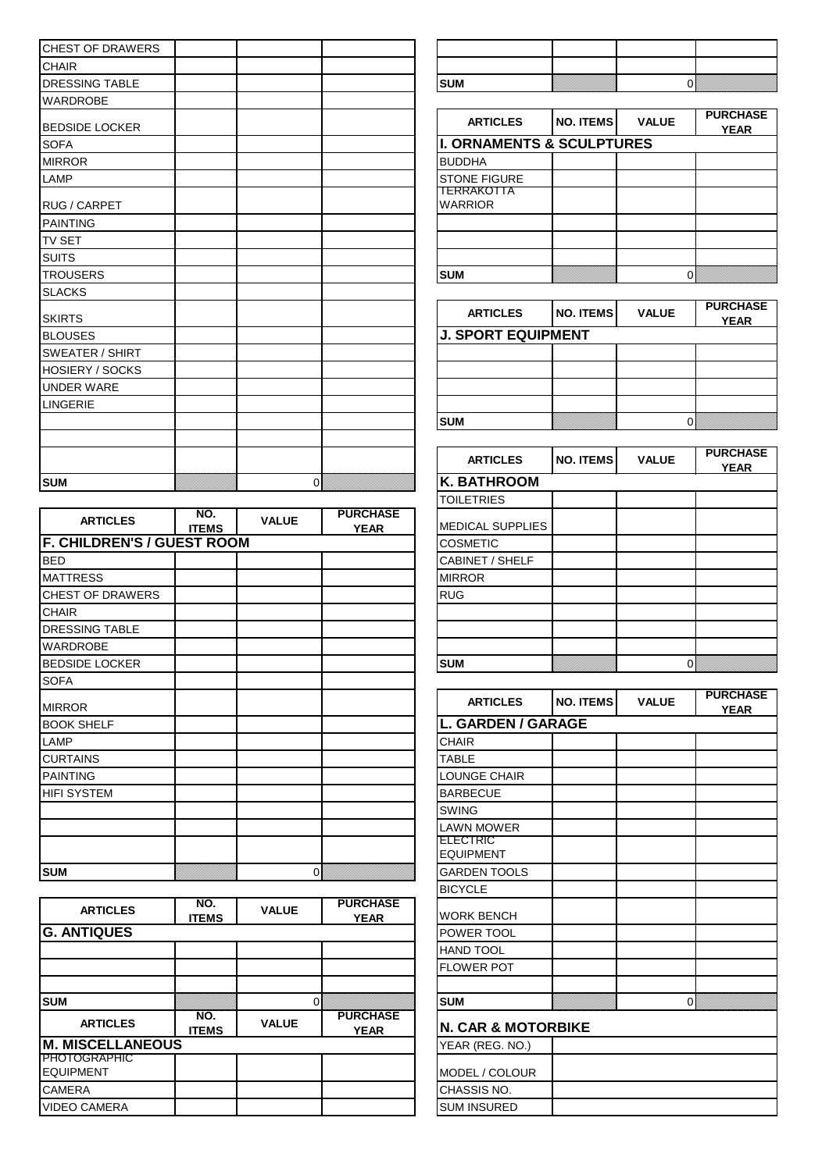| <b>CHEST OF DRAWERS</b> |    |                                      |                  |              |                                |
|-------------------------|----|--------------------------------------|------------------|--------------|--------------------------------|
| <b>CHAIR</b>            |    |                                      |                  |              |                                |
| <b>DRESSING TABLE</b>   |    | <b>SUM</b>                           |                  |              | $\overline{0}$                 |
| <b>WARDROBE</b>         |    |                                      |                  |              |                                |
| <b>BEDSIDE LOCKER</b>   |    | <b>ARTICLES</b>                      | <b>NO. ITEMS</b> | <b>VALUE</b> | <b>PURCHASE</b><br><b>YEAR</b> |
| <b>SOFA</b>             |    | <b>I. ORNAMENTS &amp; SCULPTURES</b> |                  |              |                                |
| <b>MIRROR</b>           |    | <b>BUDDHA</b>                        |                  |              |                                |
| <b>LAMP</b>             |    | <b>STONE FIGURE</b>                  |                  |              |                                |
| <b>RUG / CARPET</b>     |    | TERRAKOTTA<br><b>WARRIOR</b>         |                  |              |                                |
| <b>PAINTING</b>         |    |                                      |                  |              |                                |
| <b>TV SET</b>           |    |                                      |                  |              |                                |
| <b>SUITS</b>            |    |                                      |                  |              |                                |
| <b>TROUSERS</b>         |    | <b>SUM</b>                           |                  |              | $\overline{0}$                 |
| <b>SLACKS</b>           |    |                                      |                  |              |                                |
| <b>SKIRTS</b>           |    | <b>ARTICLES</b>                      | <b>NO. ITEMS</b> | <b>VALUE</b> | <b>PURCHASE</b><br><b>YEAR</b> |
| <b>BLOUSES</b>          |    | <b>J. SPORT EQUIPMENT</b>            |                  |              |                                |
| <b>SWEATER / SHIRT</b>  |    |                                      |                  |              |                                |
| <b>HOSIERY / SOCKS</b>  |    |                                      |                  |              |                                |
| <b>UNDER WARE</b>       |    |                                      |                  |              |                                |
| <b>LINGERIE</b>         |    |                                      |                  |              |                                |
|                         |    | <b>SUM</b>                           |                  |              | $\mathbf{0}$                   |
|                         |    | <b>ARTICLES</b>                      | <b>NO. ITEMS</b> | <b>VALUE</b> | <b>PURCHASE</b><br><b>YEAR</b> |
| <b>SUM</b>              | Οľ | <b>K. BATHROOM</b>                   |                  |              |                                |

|                                   |                     |              |                                | ---------                           |                  |                |                                |
|-----------------------------------|---------------------|--------------|--------------------------------|-------------------------------------|------------------|----------------|--------------------------------|
| <b>ARTICLES</b>                   | NO.<br><b>ITEMS</b> | <b>VALUE</b> | <b>PURCHASE</b><br><b>YEAR</b> | <b>MEDICAL SUPPLIES</b>             |                  |                |                                |
| <b>F. CHILDREN'S / GUEST ROOM</b> |                     |              |                                | <b>COSMETIC</b>                     |                  |                |                                |
| <b>BED</b>                        |                     |              |                                | CABINET / SHELF                     |                  |                |                                |
| <b>MATTRESS</b>                   |                     |              |                                | <b>MIRROR</b>                       |                  |                |                                |
| <b>CHEST OF DRAWERS</b>           |                     |              |                                | <b>RUG</b>                          |                  |                |                                |
| <b>CHAIR</b>                      |                     |              |                                |                                     |                  |                |                                |
| <b>DRESSING TABLE</b>             |                     |              |                                |                                     |                  |                |                                |
| <b>WARDROBE</b>                   |                     |              |                                |                                     |                  |                |                                |
| <b>BEDSIDE LOCKER</b>             |                     |              |                                | <b>SUM</b>                          |                  | $\overline{0}$ |                                |
| <b>SOFA</b>                       |                     |              |                                |                                     |                  |                |                                |
| <b>MIRROR</b>                     |                     |              |                                | <b>ARTICLES</b>                     | <b>NO. ITEMS</b> | <b>VALUE</b>   | <b>PURCHASE</b><br><b>YEAR</b> |
| <b>BOOK SHELF</b>                 |                     |              |                                | <b>L. GARDEN / GARAGE</b>           |                  |                |                                |
| LAMP                              |                     |              |                                | <b>CHAIR</b>                        |                  |                |                                |
| <b>CURTAINS</b>                   |                     |              |                                | <b>TABLE</b>                        |                  |                |                                |
| <b>PAINTING</b>                   |                     |              |                                | <b>LOUNGE CHAIR</b>                 |                  |                |                                |
| <b>HIFI SYSTEM</b>                |                     |              |                                | <b>BARBECUE</b>                     |                  |                |                                |
|                                   |                     |              |                                | <b>SWING</b>                        |                  |                |                                |
|                                   |                     |              |                                | <b>LAWN MOWER</b>                   |                  |                |                                |
|                                   |                     |              |                                | <b>ELECTRIC</b><br><b>EQUIPMENT</b> |                  |                |                                |
| <b>SUM</b>                        |                     | 0            |                                | <b>GARDEN TOOLS</b>                 |                  |                |                                |

| <b>ARTICLES</b>                         | NO.<br><b>ITEMS</b> | <b>VALUE</b> | <b>PURCHASE</b><br><b>YEAR</b> | <b>WORK BENCH</b>             |  |
|-----------------------------------------|---------------------|--------------|--------------------------------|-------------------------------|--|
| <b>G. ANTIQUES</b>                      |                     |              |                                | POWER TOOL                    |  |
|                                         |                     |              |                                | <b>HAND TOOL</b>              |  |
|                                         |                     |              |                                | <b>FLOWER POT</b>             |  |
| <b>SUM</b>                              |                     |              |                                | <b>SUM</b>                    |  |
| <b>ARTICLES</b>                         | NO.<br><b>ITEMS</b> | <b>VALUE</b> | <b>PURCHASE</b><br><b>YEAR</b> | <b>N. CAR &amp; MOTORBIKE</b> |  |
| <b>M. MISCELLANEOUS</b>                 |                     |              |                                | YEAR (REG. NO.)               |  |
| <b>PHOTOGRAPHIC</b><br><b>EQUIPMENT</b> |                     |              |                                | MODEL / COLOUR                |  |
| <b>CAMERA</b>                           |                     |              |                                | CHASSIS NO.                   |  |
| <b>VIDEO CAMERA</b>                     |                     |              |                                | <b>SUM INSURED</b>            |  |

| <b>CURA</b> | ,,,,,,,,,,,, |  |
|-------------|--------------|--|

| <b>ARTICLES</b>              | <b>NO. ITEMS</b>                     | <b>VALUE</b> | <b>PURCHASE</b><br><b>YEAR</b> |  |  |  |  |  |
|------------------------------|--------------------------------------|--------------|--------------------------------|--|--|--|--|--|
|                              | <b>I. ORNAMENTS &amp; SCULPTURES</b> |              |                                |  |  |  |  |  |
| <b>BUDDHA</b>                |                                      |              |                                |  |  |  |  |  |
| <b>STONE FIGURE</b>          |                                      |              |                                |  |  |  |  |  |
| TERRAKOTTA<br><b>WARRIOR</b> |                                      |              |                                |  |  |  |  |  |
|                              |                                      |              |                                |  |  |  |  |  |
|                              |                                      |              |                                |  |  |  |  |  |
|                              |                                      |              |                                |  |  |  |  |  |
| <b>SUM</b>                   |                                      |              |                                |  |  |  |  |  |

| <b>ARTICLES</b>           | <b>NO. ITEMS</b> | <b>VALUE</b> | <b>PURCHASE</b><br><b>YEAR</b> |  |  |  |  |
|---------------------------|------------------|--------------|--------------------------------|--|--|--|--|
| <b>J. SPORT EQUIPMENT</b> |                  |              |                                |  |  |  |  |
|                           |                  |              |                                |  |  |  |  |
|                           |                  |              |                                |  |  |  |  |
|                           |                  |              |                                |  |  |  |  |
|                           |                  |              |                                |  |  |  |  |
| <b>SUM</b>                |                  |              |                                |  |  |  |  |

|                              | <b>ARTICLES</b>         | <b>NO. ITEMS</b> | <b>VALUE</b> | <b>PURCHASE</b><br><b>YEAR</b> |
|------------------------------|-------------------------|------------------|--------------|--------------------------------|
|                              | <b>K. BATHROOM</b>      |                  |              |                                |
|                              | <b>TOILETRIES</b>       |                  |              |                                |
| <b>RCHASE</b><br><b>YEAR</b> | <b>MEDICAL SUPPLIES</b> |                  |              |                                |
|                              | <b>COSMETIC</b>         |                  |              |                                |
|                              | <b>CABINET / SHELF</b>  |                  |              |                                |
|                              | <b>MIRROR</b>           |                  |              |                                |
|                              | <b>RUG</b>              |                  |              |                                |
|                              |                         |                  |              |                                |
|                              |                         |                  |              |                                |
|                              | <b>SUM</b>              |                  |              |                                |
|                              |                         |                  |              |                                |

| <b>ARTICLES</b>               | <b>NO. ITEMS</b>   | <b>VALUE</b> | <b>PURCHASE</b><br><b>YEAR</b> |  |  |  |  |
|-------------------------------|--------------------|--------------|--------------------------------|--|--|--|--|
|                               | L. GARDEN / GARAGE |              |                                |  |  |  |  |
| <b>CHAIR</b>                  |                    |              |                                |  |  |  |  |
| <b>TABLE</b>                  |                    |              |                                |  |  |  |  |
| <b>LOUNGE CHAIR</b>           |                    |              |                                |  |  |  |  |
| <b>BARBECUE</b>               |                    |              |                                |  |  |  |  |
| <b>SWING</b>                  |                    |              |                                |  |  |  |  |
| <b>LAWN MOWER</b>             |                    |              |                                |  |  |  |  |
| ELECTRIC<br><b>EQUIPMENT</b>  |                    |              |                                |  |  |  |  |
| <b>GARDEN TOOLS</b>           |                    |              |                                |  |  |  |  |
| <b>BICYCLE</b>                |                    |              |                                |  |  |  |  |
| <b>WORK BENCH</b>             |                    |              |                                |  |  |  |  |
| POWER TOOL                    |                    |              |                                |  |  |  |  |
| <b>HAND TOOL</b>              |                    |              |                                |  |  |  |  |
| <b>FLOWER POT</b>             |                    |              |                                |  |  |  |  |
|                               |                    |              |                                |  |  |  |  |
| <b>SUM</b>                    |                    | 0            |                                |  |  |  |  |
| <b>N. CAR &amp; MOTORBIKE</b> |                    |              |                                |  |  |  |  |
| YEAR (REG. NO.)               |                    |              |                                |  |  |  |  |
| MODEL / COLOUR                |                    |              |                                |  |  |  |  |
| CHASSIS NO.                   |                    |              |                                |  |  |  |  |
| <b>SUM INSURED</b>            |                    |              |                                |  |  |  |  |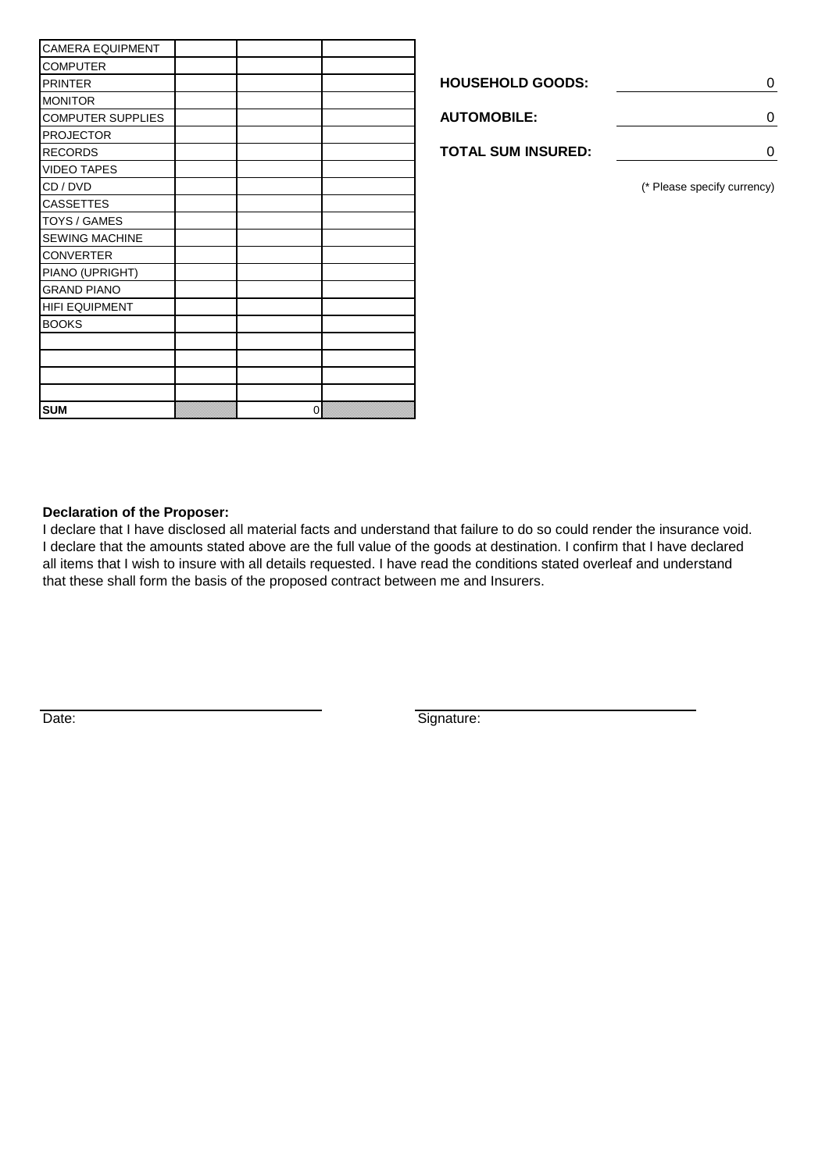| <b>CAMERA EQUIPMENT</b>  |          |                           |
|--------------------------|----------|---------------------------|
| <b>COMPUTER</b>          |          |                           |
| <b>PRINTER</b>           |          | <b>HOUSEHOLD GOODS:</b>   |
| <b>MONITOR</b>           |          |                           |
| <b>COMPUTER SUPPLIES</b> |          | <b>AUTOMOBILE:</b>        |
| <b>PROJECTOR</b>         |          |                           |
| <b>RECORDS</b>           |          | <b>TOTAL SUM INSURED:</b> |
| <b>VIDEO TAPES</b>       |          |                           |
| CD / DVD                 |          |                           |
| <b>CASSETTES</b>         |          |                           |
| <b>TOYS / GAMES</b>      |          |                           |
| <b>SEWING MACHINE</b>    |          |                           |
| <b>CONVERTER</b>         |          |                           |
| PIANO (UPRIGHT)          |          |                           |
| <b>GRAND PIANO</b>       |          |                           |
| <b>HIFI EQUIPMENT</b>    |          |                           |
| <b>BOOKS</b>             |          |                           |
|                          |          |                           |
|                          |          |                           |
|                          |          |                           |
|                          |          |                           |
| <b>SUM</b>               | $\Omega$ |                           |

| <b>HOUSEHOLD GOODS:</b>   |  |
|---------------------------|--|
| <b>AUTOMOBILE:</b>        |  |
| <b>TOTAL SUM INSURED:</b> |  |

(\* Please specify currency)

## **Declaration of the Proposer:**

I declare that I have disclosed all material facts and understand that failure to do so could render the insurance void. I declare that the amounts stated above are the full value of the goods at destination. I confirm that I have declared all items that I wish to insure with all details requested. I have read the conditions stated overleaf and understand that these shall form the basis of the proposed contract between me and Insurers.

Date: Signature: